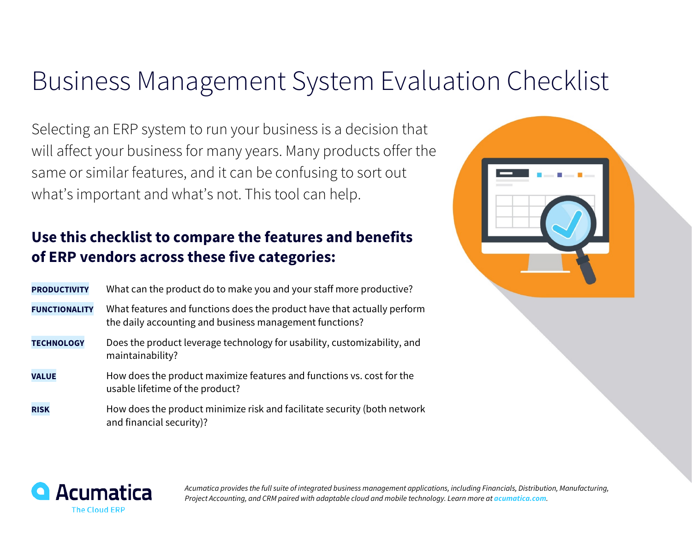## Business Management System Evaluation Checklist

Selecting an ERP system to run your business is a decision that will affect your business for many years. Many products offer the same or similar features, and it can be confusing to sort out what's important and what's not. This tool can help.

## **Use this checklist to compare the features and benefits of ERP vendors across these five categories:**

| <b>PRODUCTIVITY</b>  | What can the product do to make you and your staff more productive?                                                                |
|----------------------|------------------------------------------------------------------------------------------------------------------------------------|
| <b>FUNCTIONALITY</b> | What features and functions does the product have that actually perform<br>the daily accounting and business management functions? |
| <b>TECHNOLOGY</b>    | Does the product leverage technology for usability, customizability, and<br>maintainability?                                       |
| <b>VALUE</b>         | How does the product maximize features and functions vs. cost for the<br>usable lifetime of the product?                           |
| <b>RISK</b>          | How does the product minimize risk and facilitate security (both network<br>and financial security)?                               |





*Acumatica provides the full suite of integrated business management applications, including Financials, Distribution, Manufacturing, Project Accounting, and CRM paired with adaptable cloud and mobile technology. Learn more at acumatica.com.*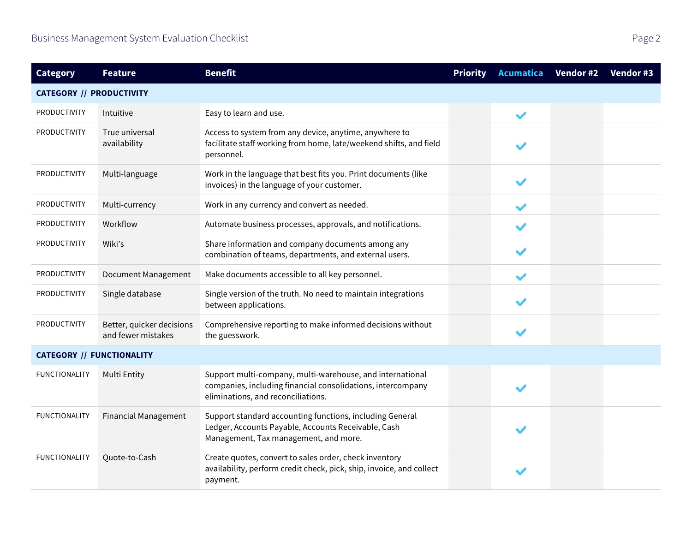| <b>Category</b>                  | <b>Feature</b>                                  | <b>Benefit</b>                                                                                                                                                 | <b>Priority</b> | <b>Acumatica</b> | Vendor #2 | Vendor #3 |
|----------------------------------|-------------------------------------------------|----------------------------------------------------------------------------------------------------------------------------------------------------------------|-----------------|------------------|-----------|-----------|
| <b>CATEGORY // PRODUCTIVITY</b>  |                                                 |                                                                                                                                                                |                 |                  |           |           |
| PRODUCTIVITY                     | Intuitive                                       | Easy to learn and use.                                                                                                                                         |                 | $\checkmark$     |           |           |
| PRODUCTIVITY                     | True universal<br>availability                  | Access to system from any device, anytime, anywhere to<br>facilitate staff working from home, late/weekend shifts, and field<br>personnel.                     |                 |                  |           |           |
| <b>PRODUCTIVITY</b>              | Multi-language                                  | Work in the language that best fits you. Print documents (like<br>invoices) in the language of your customer.                                                  |                 |                  |           |           |
| <b>PRODUCTIVITY</b>              | Multi-currency                                  | Work in any currency and convert as needed.                                                                                                                    |                 |                  |           |           |
| <b>PRODUCTIVITY</b>              | Workflow                                        | Automate business processes, approvals, and notifications.                                                                                                     |                 |                  |           |           |
| <b>PRODUCTIVITY</b>              | Wiki's                                          | Share information and company documents among any<br>combination of teams, departments, and external users.                                                    |                 |                  |           |           |
| <b>PRODUCTIVITY</b>              | Document Management                             | Make documents accessible to all key personnel.                                                                                                                |                 |                  |           |           |
| <b>PRODUCTIVITY</b>              | Single database                                 | Single version of the truth. No need to maintain integrations<br>between applications.                                                                         |                 |                  |           |           |
| <b>PRODUCTIVITY</b>              | Better, quicker decisions<br>and fewer mistakes | Comprehensive reporting to make informed decisions without<br>the guesswork.                                                                                   |                 |                  |           |           |
| <b>CATEGORY // FUNCTIONALITY</b> |                                                 |                                                                                                                                                                |                 |                  |           |           |
| <b>FUNCTIONALITY</b>             | <b>Multi Entity</b>                             | Support multi-company, multi-warehouse, and international<br>companies, including financial consolidations, intercompany<br>eliminations, and reconciliations. |                 |                  |           |           |
| <b>FUNCTIONALITY</b>             | <b>Financial Management</b>                     | Support standard accounting functions, including General<br>Ledger, Accounts Payable, Accounts Receivable, Cash<br>Management, Tax management, and more.       |                 |                  |           |           |
| <b>FUNCTIONALITY</b>             | Quote-to-Cash                                   | Create quotes, convert to sales order, check inventory<br>availability, perform credit check, pick, ship, invoice, and collect<br>payment.                     |                 |                  |           |           |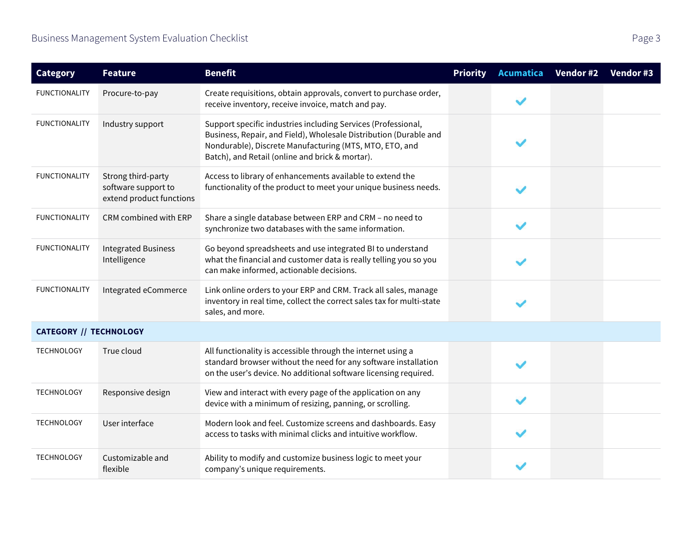| <b>Category</b>               | <b>Feature</b>                                                        | <b>Benefit</b>                                                                                                                                                                                                                                   | <b>Priority</b> | <b>Acumatica</b> | Vendor #2 | Vendor #3 |  |
|-------------------------------|-----------------------------------------------------------------------|--------------------------------------------------------------------------------------------------------------------------------------------------------------------------------------------------------------------------------------------------|-----------------|------------------|-----------|-----------|--|
| <b>FUNCTIONALITY</b>          | Procure-to-pay                                                        | Create requisitions, obtain approvals, convert to purchase order,<br>receive inventory, receive invoice, match and pay.                                                                                                                          |                 |                  |           |           |  |
| <b>FUNCTIONALITY</b>          | Industry support                                                      | Support specific industries including Services (Professional,<br>Business, Repair, and Field), Wholesale Distribution (Durable and<br>Nondurable), Discrete Manufacturing (MTS, MTO, ETO, and<br>Batch), and Retail (online and brick & mortar). |                 |                  |           |           |  |
| <b>FUNCTIONALITY</b>          | Strong third-party<br>software support to<br>extend product functions | Access to library of enhancements available to extend the<br>functionality of the product to meet your unique business needs.                                                                                                                    |                 |                  |           |           |  |
| <b>FUNCTIONALITY</b>          | CRM combined with ERP                                                 | Share a single database between ERP and CRM - no need to<br>synchronize two databases with the same information.                                                                                                                                 |                 |                  |           |           |  |
| <b>FUNCTIONALITY</b>          | <b>Integrated Business</b><br>Intelligence                            | Go beyond spreadsheets and use integrated BI to understand<br>what the financial and customer data is really telling you so you<br>can make informed, actionable decisions.                                                                      |                 |                  |           |           |  |
| <b>FUNCTIONALITY</b>          | Integrated eCommerce                                                  | Link online orders to your ERP and CRM. Track all sales, manage<br>inventory in real time, collect the correct sales tax for multi-state<br>sales, and more.                                                                                     |                 |                  |           |           |  |
| <b>CATEGORY // TECHNOLOGY</b> |                                                                       |                                                                                                                                                                                                                                                  |                 |                  |           |           |  |
| <b>TECHNOLOGY</b>             | True cloud                                                            | All functionality is accessible through the internet using a<br>standard browser without the need for any software installation<br>on the user's device. No additional software licensing required.                                              |                 |                  |           |           |  |
| <b>TECHNOLOGY</b>             | Responsive design                                                     | View and interact with every page of the application on any<br>device with a minimum of resizing, panning, or scrolling.                                                                                                                         |                 |                  |           |           |  |
| <b>TECHNOLOGY</b>             | User interface                                                        | Modern look and feel. Customize screens and dashboards. Easy<br>access to tasks with minimal clicks and intuitive workflow.                                                                                                                      |                 |                  |           |           |  |
| <b>TECHNOLOGY</b>             | Customizable and<br>flexible                                          | Ability to modify and customize business logic to meet your<br>company's unique requirements.                                                                                                                                                    |                 |                  |           |           |  |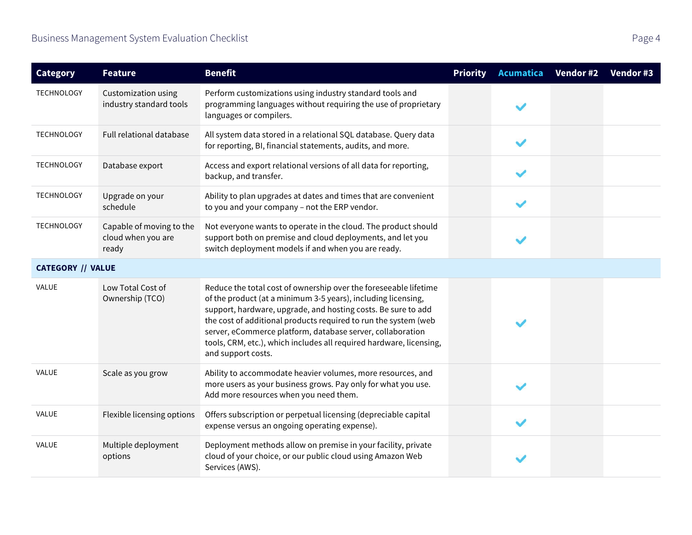| <b>Category</b>          | <b>Feature</b>                                          | <b>Benefit</b>                                                                                                                                                                                                                                                                                                                                                                                                                   | <b>Priority</b> | <b>Acumatica</b> | Vendor #2 | Vendor #3 |
|--------------------------|---------------------------------------------------------|----------------------------------------------------------------------------------------------------------------------------------------------------------------------------------------------------------------------------------------------------------------------------------------------------------------------------------------------------------------------------------------------------------------------------------|-----------------|------------------|-----------|-----------|
| <b>TECHNOLOGY</b>        | <b>Customization using</b><br>industry standard tools   | Perform customizations using industry standard tools and<br>programming languages without requiring the use of proprietary<br>languages or compilers.                                                                                                                                                                                                                                                                            |                 |                  |           |           |
| <b>TECHNOLOGY</b>        | Full relational database                                | All system data stored in a relational SQL database. Query data<br>for reporting, BI, financial statements, audits, and more.                                                                                                                                                                                                                                                                                                    |                 |                  |           |           |
| TECHNOLOGY               | Database export                                         | Access and export relational versions of all data for reporting,<br>backup, and transfer.                                                                                                                                                                                                                                                                                                                                        |                 |                  |           |           |
| <b>TECHNOLOGY</b>        | Upgrade on your<br>schedule                             | Ability to plan upgrades at dates and times that are convenient<br>to you and your company - not the ERP vendor.                                                                                                                                                                                                                                                                                                                 |                 |                  |           |           |
| <b>TECHNOLOGY</b>        | Capable of moving to the<br>cloud when you are<br>ready | Not everyone wants to operate in the cloud. The product should<br>support both on premise and cloud deployments, and let you<br>switch deployment models if and when you are ready.                                                                                                                                                                                                                                              |                 |                  |           |           |
| <b>CATEGORY // VALUE</b> |                                                         |                                                                                                                                                                                                                                                                                                                                                                                                                                  |                 |                  |           |           |
| <b>VALUE</b>             | Low Total Cost of<br>Ownership (TCO)                    | Reduce the total cost of ownership over the foreseeable lifetime<br>of the product (at a minimum 3-5 years), including licensing,<br>support, hardware, upgrade, and hosting costs. Be sure to add<br>the cost of additional products required to run the system (web<br>server, eCommerce platform, database server, collaboration<br>tools, CRM, etc.), which includes all required hardware, licensing,<br>and support costs. |                 |                  |           |           |
| VALUE                    | Scale as you grow                                       | Ability to accommodate heavier volumes, more resources, and<br>more users as your business grows. Pay only for what you use.<br>Add more resources when you need them.                                                                                                                                                                                                                                                           |                 |                  |           |           |
| <b>VALUE</b>             | Flexible licensing options                              | Offers subscription or perpetual licensing (depreciable capital<br>expense versus an ongoing operating expense).                                                                                                                                                                                                                                                                                                                 |                 |                  |           |           |
| <b>VALUE</b>             | Multiple deployment<br>options                          | Deployment methods allow on premise in your facility, private<br>cloud of your choice, or our public cloud using Amazon Web<br>Services (AWS).                                                                                                                                                                                                                                                                                   |                 |                  |           |           |